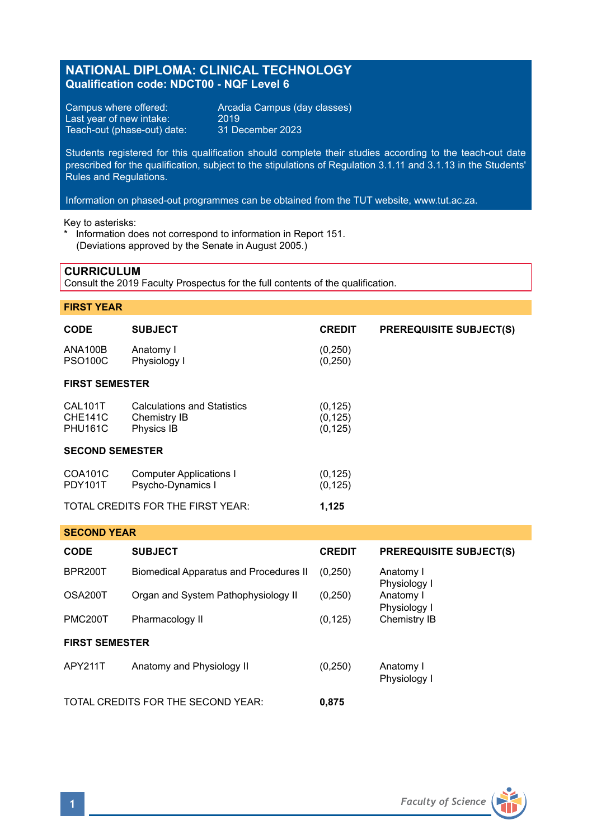## **NATIONAL DIPLOMA: CLINICAL TECHNOLOGY Qualification code: NDCT00 - NQF Level 6**

Last year of new intake: 2019<br>Teach-out (phase-out) date: 31 December 2023 Teach-out (phase-out) date:

Campus where offered: <br>
Last year of new intake: 2019<br>
2019

Students registered for this qualification should complete their studies according to the teach-out date prescribed for the qualification, subject to the stipulations of Regulation 3.1.11 and 3.1.13 in the Students' Rules and Regulations.

Information on phased-out programmes can be obtained from the TUT website, www.tut.ac.za.

Key to asterisks:

Information does not correspond to information in Report 151. (Deviations approved by the Senate in August 2005.)

### **CURRICULUM**

Consult the 2019 Faculty Prospectus for the full contents of the qualification.

### **FIRST YEAR**

| <b>CODE</b>                                 | <b>SUBJECT</b>                                                   | <b>CREDIT</b>                    | <b>PREREQUISITE SUBJECT(S)</b> |  |  |  |
|---------------------------------------------|------------------------------------------------------------------|----------------------------------|--------------------------------|--|--|--|
| <b>ANA100B</b><br><b>PSO100C</b>            | Anatomy I<br>Physiology I                                        | (0, 250)<br>(0, 250)             |                                |  |  |  |
| <b>FIRST SEMESTER</b>                       |                                                                  |                                  |                                |  |  |  |
| CAL101T<br><b>CHE141C</b><br><b>PHU161C</b> | <b>Calculations and Statistics</b><br>Chemistry IB<br>Physics IB | (0, 125)<br>(0, 125)<br>(0, 125) |                                |  |  |  |
| <b>SECOND SEMESTER</b>                      |                                                                  |                                  |                                |  |  |  |
| COA101C<br><b>PDY101T</b>                   | <b>Computer Applications I</b><br>Psycho-Dynamics I              | (0, 125)<br>(0, 125)             |                                |  |  |  |
| TOTAL CREDITS FOR THE FIRST YEAR:           |                                                                  | 1.125                            |                                |  |  |  |

# **SECOND YEAR CODE SUBJECT CREDIT PREREQUISITE SUBJECT(S)** BPR200T Biomedical Apparatus and Procedures II (0,250) Anatomy I Physiology I<br>Anatomy I OSA200T Organ and System Pathophysiology II (0,250) Physiology I<br>Chemistry IB PMC200T Pharmacology II (0.125) **FIRST SEMESTER** APY211T Anatomy and Physiology II (0,250) Anatomy I Physiology I

TOTAL CREDITS FOR THE SECOND YEAR: **0,875**

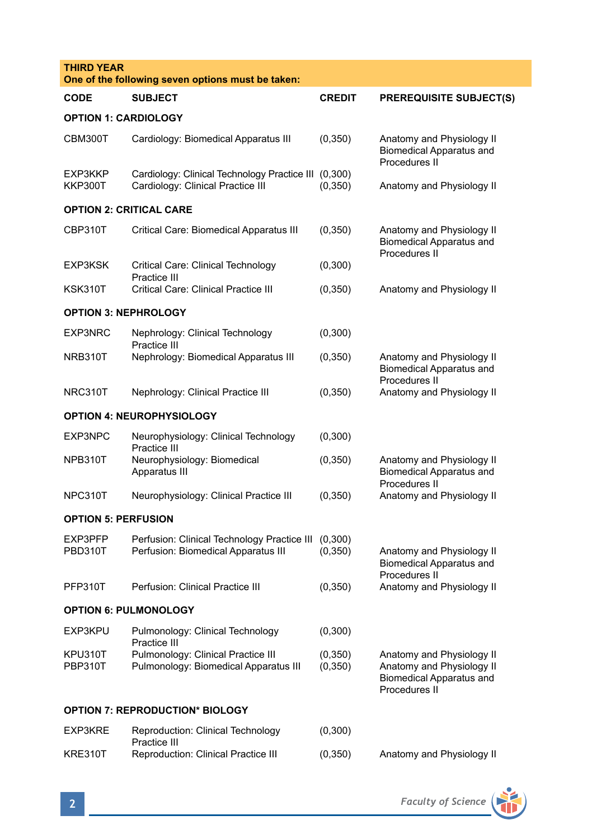| <b>THIRD YEAR</b><br>One of the following seven options must be taken: |                                                                                            |                      |                                                                                                            |  |  |  |  |
|------------------------------------------------------------------------|--------------------------------------------------------------------------------------------|----------------------|------------------------------------------------------------------------------------------------------------|--|--|--|--|
| <b>CODE</b>                                                            | <b>SUBJECT</b>                                                                             | <b>CREDIT</b>        | <b>PREREQUISITE SUBJECT(S)</b>                                                                             |  |  |  |  |
| <b>OPTION 1: CARDIOLOGY</b>                                            |                                                                                            |                      |                                                                                                            |  |  |  |  |
| CBM300T                                                                | Cardiology: Biomedical Apparatus III                                                       | (0, 350)             | Anatomy and Physiology II<br><b>Biomedical Apparatus and</b><br>Procedures II                              |  |  |  |  |
| EXP3KKP<br><b>KKP300T</b>                                              | Cardiology: Clinical Technology Practice III (0,300)<br>Cardiology: Clinical Practice III  | (0, 350)             | Anatomy and Physiology II                                                                                  |  |  |  |  |
| <b>OPTION 2: CRITICAL CARE</b>                                         |                                                                                            |                      |                                                                                                            |  |  |  |  |
| CBP310T                                                                | Critical Care: Biomedical Apparatus III                                                    | (0, 350)             | Anatomy and Physiology II<br><b>Biomedical Apparatus and</b><br>Procedures II                              |  |  |  |  |
| EXP3KSK                                                                | Critical Care: Clinical Technology<br>Practice III                                         | (0,300)              |                                                                                                            |  |  |  |  |
| KSK310T                                                                | Critical Care: Clinical Practice III                                                       | (0, 350)             | Anatomy and Physiology II                                                                                  |  |  |  |  |
| <b>OPTION 3: NEPHROLOGY</b>                                            |                                                                                            |                      |                                                                                                            |  |  |  |  |
| EXP3NRC                                                                | Nephrology: Clinical Technology<br>Practice III                                            | (0,300)              |                                                                                                            |  |  |  |  |
| NRB310T                                                                | Nephrology: Biomedical Apparatus III                                                       | (0, 350)             | Anatomy and Physiology II<br><b>Biomedical Apparatus and</b>                                               |  |  |  |  |
| NRC310T                                                                | Nephrology: Clinical Practice III                                                          | (0, 350)             | Procedures II<br>Anatomy and Physiology II                                                                 |  |  |  |  |
|                                                                        | <b>OPTION 4: NEUROPHYSIOLOGY</b>                                                           |                      |                                                                                                            |  |  |  |  |
| EXP3NPC                                                                | Neurophysiology: Clinical Technology<br>Practice III                                       | (0,300)              |                                                                                                            |  |  |  |  |
| NPB310T                                                                | Neurophysiology: Biomedical<br>Apparatus III                                               | (0, 350)             | Anatomy and Physiology II<br><b>Biomedical Apparatus and</b><br>Procedures II                              |  |  |  |  |
| NPC310T                                                                | Neurophysiology: Clinical Practice III                                                     | (0,350)              | Anatomy and Physiology II                                                                                  |  |  |  |  |
| <b>OPTION 5: PERFUSION</b>                                             |                                                                                            |                      |                                                                                                            |  |  |  |  |
| EXP3PFP<br>PBD310T                                                     | Perfusion: Clinical Technology Practice III (0,300)<br>Perfusion: Biomedical Apparatus III | (0, 350)             | Anatomy and Physiology II<br><b>Biomedical Apparatus and</b>                                               |  |  |  |  |
| PFP310T                                                                | Perfusion: Clinical Practice III                                                           | (0, 350)             | Procedures II<br>Anatomy and Physiology II                                                                 |  |  |  |  |
| <b>OPTION 6: PULMONOLOGY</b>                                           |                                                                                            |                      |                                                                                                            |  |  |  |  |
| EXP3KPU                                                                | Pulmonology: Clinical Technology<br>Practice III                                           | (0,300)              |                                                                                                            |  |  |  |  |
| KPU310T<br><b>PBP310T</b>                                              | Pulmonology: Clinical Practice III<br>Pulmonology: Biomedical Apparatus III                | (0, 350)<br>(0, 350) | Anatomy and Physiology II<br>Anatomy and Physiology II<br><b>Biomedical Apparatus and</b><br>Procedures II |  |  |  |  |
| <b>OPTION 7: REPRODUCTION* BIOLOGY</b>                                 |                                                                                            |                      |                                                                                                            |  |  |  |  |
| EXP3KRE                                                                | Reproduction: Clinical Technology<br>Practice III                                          | (0,300)              |                                                                                                            |  |  |  |  |
| KRE310T                                                                | Reproduction: Clinical Practice III                                                        | (0, 350)             | Anatomy and Physiology II                                                                                  |  |  |  |  |

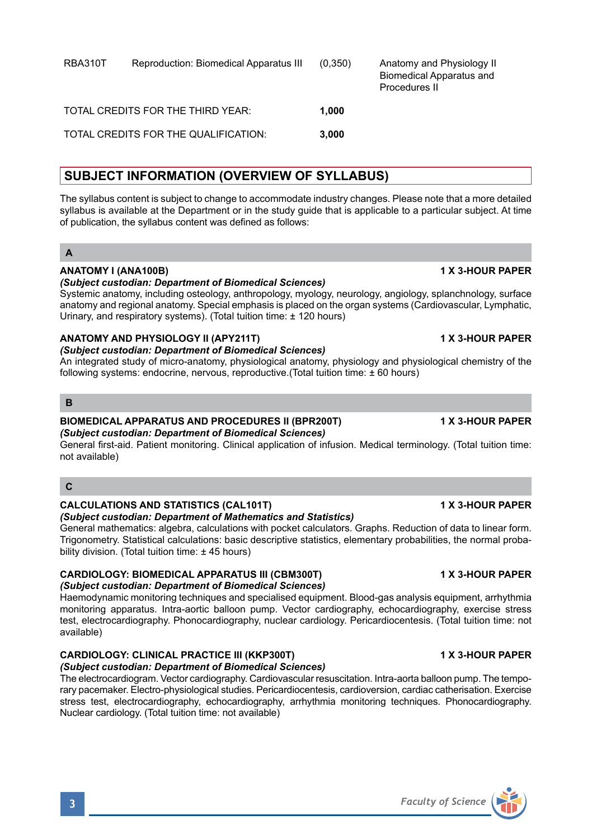# RBA310T Reproduction: Biomedical Apparatus III (0,350) Anatomy and Physiology II

| TOTAL CREDITS FOR THE THIRD YEAR:    | 1.000 |  |
|--------------------------------------|-------|--|
| TOTAL CREDITS FOR THE QUALIFICATION: | 3.000 |  |

# **SUBJECT INFORMATION (OVERVIEW OF SYLLABUS)**

The syllabus content is subject to change to accommodate industry changes. Please note that a more detailed syllabus is available at the Department or in the study guide that is applicable to a particular subject. At time of publication, the syllabus content was defined as follows:

### **A**

### **ANATOMY I (ANA100B) 1 X 3-HOUR PAPER**

## *(Subject custodian: Department of Biomedical Sciences)* Systemic anatomy, including osteology, anthropology, myology, neurology, angiology, splanchnology, surface

anatomy and regional anatomy. Special emphasis is placed on the organ systems (Cardiovascular, Lymphatic, Urinary, and respiratory systems). (Total tuition time: ± 120 hours)

### **ANATOMY AND PHYSIOLOGY II (APY211T) 1 X 3-HOUR PAPER**

### *(Subject custodian: Department of Biomedical Sciences)*

An integrated study of micro-anatomy, physiological anatomy, physiology and physiological chemistry of the following systems: endocrine, nervous, reproductive.(Total tuition time: ± 60 hours)

### **B**

# **BIOMEDICAL APPARATUS AND PROCEDURES II (BPR200T) 1 X 3-HOUR PAPER**

#### *(Subject custodian: Department of Biomedical Sciences)*

General first-aid. Patient monitoring. Clinical application of infusion. Medical terminology. (Total tuition time: not available)

# **CALCULATIONS AND STATISTICS (CAL101T) 1 X 3-HOUR PAPER**

# *(Subject custodian: Department of Mathematics and Statistics)*

General mathematics: algebra, calculations with pocket calculators. Graphs. Reduction of data to linear form. Trigonometry. Statistical calculations: basic descriptive statistics, elementary probabilities, the normal probability division. (Total tuition time: ± 45 hours)

#### **CARDIOLOGY: BIOMEDICAL APPARATUS III (CBM300T) 1 X 3-HOUR PAPER** *(Subject custodian: Department of Biomedical Sciences)*

Haemodynamic monitoring techniques and specialised equipment. Blood-gas analysis equipment, arrhythmia monitoring apparatus. Intra-aortic balloon pump. Vector cardiography, echocardiography, exercise stress test, electrocardiography. Phonocardiography, nuclear cardiology. Pericardiocentesis. (Total tuition time: not available)

stress test, electrocardiography, echocardiography, arrhythmia monitoring techniques. Phonocardiography.

# **CARDIOLOGY: CLINICAL PRACTICE III (KKP300T) 1 X 3-HOUR PAPER**

Nuclear cardiology. (Total tuition time: not available)

*(Subject custodian: Department of Biomedical Sciences)* The electrocardiogram. Vector cardiography. Cardiovascular resuscitation. Intra-aorta balloon pump. The temporary pacemaker. Electro-physiological studies. Pericardiocentesis, cardioversion, cardiac catherisation. Exercise

Biomedical Apparatus and

Procedures II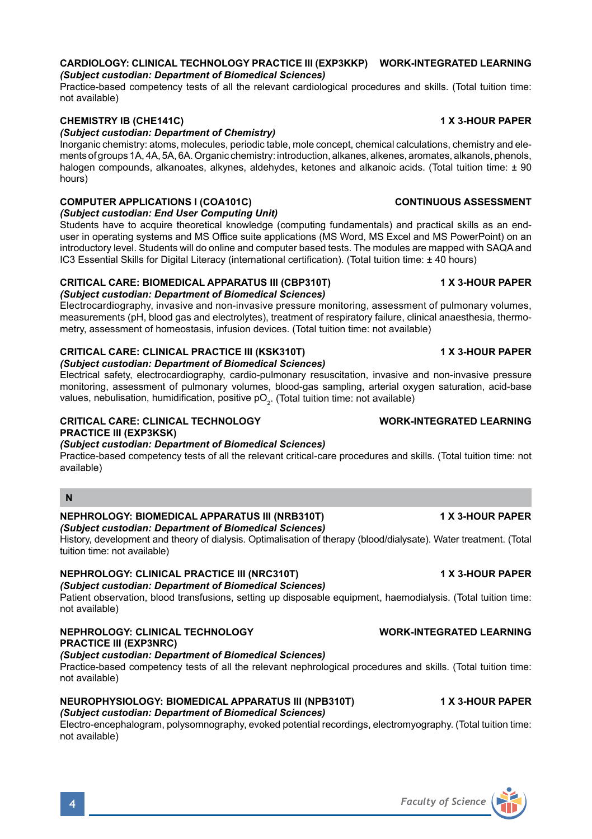

### **CARDIOLOGY: CLINICAL TECHNOLOGY PRACTICE III (EXP3KKP) WORK-INTEGRATED LEARNING** *(Subject custodian: Department of Biomedical Sciences)*

Practice-based competency tests of all the relevant cardiological procedures and skills. (Total tuition time: not available)

### **CHEMISTRY IB (CHE141C) 1 X 3-HOUR PAPER**

### *(Subject custodian: Department of Chemistry)*

Inorganic chemistry: atoms, molecules, periodic table, mole concept, chemical calculations, chemistry and elements of groups 1A, 4A, 5A, 6A. Organic chemistry: introduction, alkanes, alkenes, aromates, alkanols, phenols, halogen compounds, alkanoates, alkynes, aldehydes, ketones and alkanoic acids. (Total tuition time: ± 90 hours)

### **COMPUTER APPLICATIONS I (COA101C) CONTINUOUS ASSESSMENT**

*(Subject custodian: End User Computing Unit)*

Students have to acquire theoretical knowledge (computing fundamentals) and practical skills as an enduser in operating systems and MS Office suite applications (MS Word, MS Excel and MS PowerPoint) on an introductory level. Students will do online and computer based tests. The modules are mapped with SAQA and IC3 Essential Skills for Digital Literacy (international certification). (Total tuition time: ± 40 hours)

### **CRITICAL CARE: BIOMEDICAL APPARATUS III (CBP310T) 1 X 3-HOUR PAPER**

### *(Subject custodian: Department of Biomedical Sciences)*

Electrocardiography, invasive and non-invasive pressure monitoring, assessment of pulmonary volumes, measurements (pH, blood gas and electrolytes), treatment of respiratory failure, clinical anaesthesia, thermometry, assessment of homeostasis, infusion devices. (Total tuition time: not available)

### **CRITICAL CARE: CLINICAL PRACTICE III (KSK310T) 1 X 3-HOUR PAPER**

*(Subject custodian: Department of Biomedical Sciences)* Electrical safety, electrocardiography, cardio-pulmonary resuscitation, invasive and non-invasive pressure monitoring, assessment of pulmonary volumes, blood-gas sampling, arterial oxygen saturation, acid-base values, nebulisation, humidification, positive pO $_{\rm 2^\cdot}$  (Total tuition time: not available)

### **CRITICAL CARE: CLINICAL TECHNOLOGY WORK-INTEGRATED LEARNING PRACTICE III (EXP3KSK)**

*(Subject custodian: Department of Biomedical Sciences)*

Practice-based competency tests of all the relevant critical-care procedures and skills. (Total tuition time: not available)

# **N**

### **NEPHROLOGY: BIOMEDICAL APPARATUS III (NRB310T) 4 X 3-HOUR PAPER**

*(Subject custodian: Department of Biomedical Sciences)* History, development and theory of dialysis. Optimalisation of therapy (blood/dialysate). Water treatment. (Total tuition time: not available)

### **NEPHROLOGY: CLINICAL PRACTICE III (NRC310T) 1 X 3-HOUR PAPER**

### *(Subject custodian: Department of Biomedical Sciences)*

Patient observation, blood transfusions, setting up disposable equipment, haemodialysis. (Total tuition time: not available)

### **NEPHROLOGY: CLINICAL TECHNOLOGY WORK-INTEGRATED LEARNING PRACTICE III (EXP3NRC)**

*(Subject custodian: Department of Biomedical Sciences)*

Practice-based competency tests of all the relevant nephrological procedures and skills. (Total tuition time: not available)

#### **NEUROPHYSIOLOGY: BIOMEDICAL APPARATUS III (NPB310T) 1 X 3-HOUR PAPER** *(Subject custodian: Department of Biomedical Sciences)*

Electro-encephalogram, polysomnography, evoked potential recordings, electromyography. (Total tuition time: not available)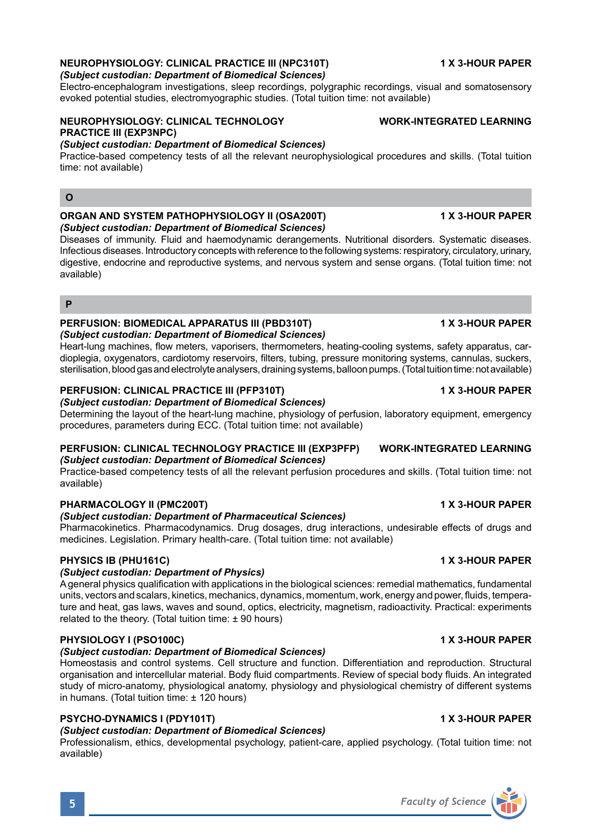#### Electro-encephalogram investigations, sleep recordings, polygraphic recordings, visual and somatosensory evoked potential studies, electromyographic studies. (Total tuition time: not available)

### **NEUROPHYSIOLOGY: CLINICAL TECHNOLOGY WORK-INTEGRATED LEARNING PRACTICE III (EXP3NPC)**

### *(Subject custodian: Department of Biomedical Sciences)*

*(Subject custodian: Department of Biomedical Sciences)*

Practice-based competency tests of all the relevant neurophysiological procedures and skills. (Total tuition time: not available)

### **O**

#### **ORGAN AND SYSTEM PATHOPHYSIOLOGY II (OSA200T) 1 X 3-HOUR PAPER** *(Subject custodian: Department of Biomedical Sciences)*

Diseases of immunity. Fluid and haemodynamic derangements. Nutritional disorders. Systematic diseases. Infectious diseases. Introductory concepts with reference to the following systems: respiratory, circulatory, urinary, digestive, endocrine and reproductive systems, and nervous system and sense organs. (Total tuition time: not available)

#### **P**

### **PERFUSION: BIOMEDICAL APPARATUS III (PBD310T) 1 X 3-HOUR PAPER**

*(Subject custodian: Department of Biomedical Sciences)* Heart-lung machines, flow meters, vaporisers, thermometers, heating-cooling systems, safety apparatus, cardioplegia, oxygenators, cardiotomy reservoirs, filters, tubing, pressure monitoring systems, cannulas, suckers, sterilisation, blood gas and electrolyte analysers, draining systems, balloon pumps. (Total tuition time:not available)

#### **PERFUSION: CLINICAL PRACTICE III (PFP310T) 1 X 3-HOUR PAPER**

#### *(Subject custodian: Department of Biomedical Sciences)* Determining the layout of the heart-lung machine, physiology of perfusion, laboratory equipment, emergency procedures, parameters during ECC. (Total tuition time: not available)

#### **PERFUSION: CLINICAL TECHNOLOGY PRACTICE III (EXP3PFP) WORK-INTEGRATED LEARNING** *(Subject custodian: Department of Biomedical Sciences)*

Practice-based competency tests of all the relevant perfusion procedures and skills. (Total tuition time: not available)

#### **PHARMACOLOGY II (PMC200T) 1 X 3-HOUR PAPER**

#### *(Subject custodian: Department of Pharmaceutical Sciences)*

Pharmacokinetics. Pharmacodynamics. Drug dosages, drug interactions, undesirable effects of drugs and medicines. Legislation. Primary health-care. (Total tuition time: not available)

### **PHYSICS IB (PHU161C) 1 X 3-HOUR PAPER**

#### *(Subject custodian: Department of Physics)*

A general physics qualification with applications in the biological sciences: remedial mathematics, fundamental units, vectors and scalars, kinetics, mechanics, dynamics, momentum, work, energy and power, fluids, temperature and heat, gas laws, waves and sound, optics, electricity, magnetism, radioactivity. Practical: experiments related to the theory. (Total tuition time:  $\pm$  90 hours)

#### **PHYSIOLOGY I (PSO100C) 1 X 3-HOUR PAPER**

#### *(Subject custodian: Department of Biomedical Sciences)*

Homeostasis and control systems. Cell structure and function. Differentiation and reproduction. Structural organisation and intercellular material. Body fluid compartments. Review of special body fluids. An integrated study of micro-anatomy, physiological anatomy, physiology and physiological chemistry of different systems in humans. (Total tuition time: ± 120 hours)

#### **PSYCHO-DYNAMICS I (PDY101T) 1 X 3-HOUR PAPER**

#### *(Subject custodian: Department of Biomedical Sciences)*

Professionalism, ethics, developmental psychology, patient-care, applied psychology. (Total tuition time: not available)

### **NEUROPHYSIOLOGY: CLINICAL PRACTICE III (NPC310T) 1 X 3-HOUR PAPER**

# **5** *Faculty of Science*